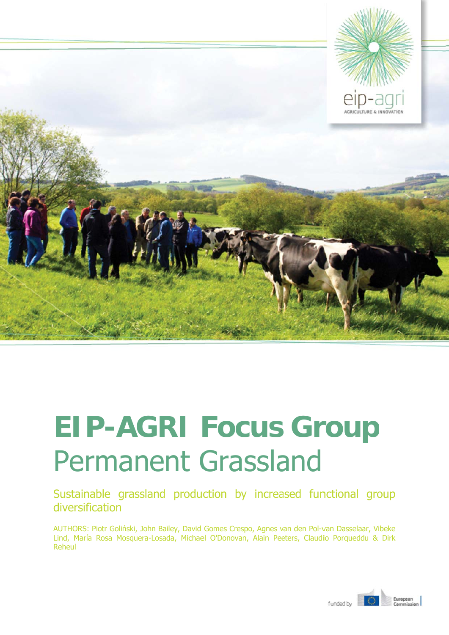

# **EIP-AGRI Focus Group Permanent Grassland**

Sustainable grassland production by increased functional group diversification

AUTHORS: Piotr Goliński, John Bailey, David Gomes Crespo, Agnes van den Pol-van Dasselaar, Vibeke Lind, María Rosa Mosquera-Losada, Michael O'Donovan, Alain Peeters, Claudio Porqueddu & Dirk Reheul

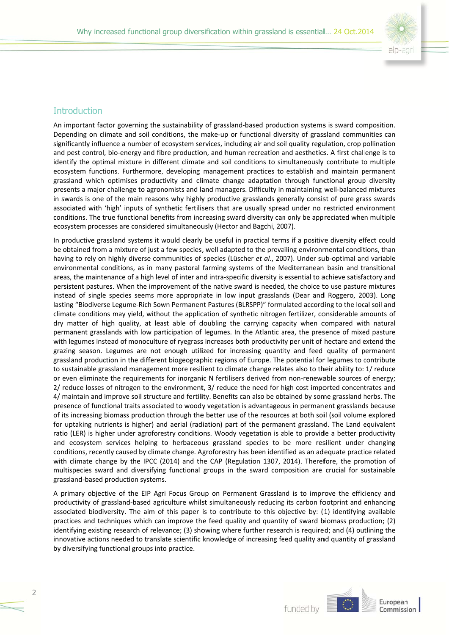

## **Introduction**

An important factor governing the sustainability of grassland-based production systems is sward composition. Depending on climate and soil conditions, the make-up or functional diversity of grassland communities can significantly influence a number of ecosystem services, including air and soil quality regulation, crop pollination and pest control, bio-energy and fibre production, and human recreation and aesthetics. A first challenge is to identify the optimal mixture in different climate and soil conditions to simultaneously contribute to multiple ecosystem functions. Furthermore, developing management practices to establish and maintain permanent grassland which optimises productivity and climate change adaptation through functional group diversity presents a major challenge to agronomists and land managers. Difficulty in maintaining well-balanced mixtures in swards is one of the main reasons why highly productive grasslands generally consist of pure grass swards associated with 'high' inputs of synthetic fertilisers that are usually spread under no restricted environment conditions. The true functional benefits from increasing sward diversity can only be appreciated when multiple ecosystem processes are considered simultaneously (Hector and Bagchi, 2007).

In productive grassland systems it would clearly be useful in practical terms if a positive diversity effect could be obtained from a mixture of just a few species, well adapted to the prevailing environmental conditions, than having to rely on highly diverse communities of species (Lüscher et al., 2007). Under sub-optimal and variable environmental conditions, as in many pastoral farming systems of the Mediterranean basin and transitional areas, the maintenance of a high level of inter and intra-specific diversity is essential to achieve satisfactory and persistent pastures. When the improvement of the native sward is needed, the choice to use pasture mixtures instead of single species seems more appropriate in low input grasslands (Dear and Roggero, 2003). Long lasting "Biodiverse Legume-Rich Sown Permanent Pastures (BLRSPP)" formulated according to the local soil and climate conditions may yield, without the application of synthetic nitrogen fertilizer, considerable amounts of dry matter of high quality, at least able of doubling the carrying capacity when compared with natural permanent grasslands with low participation of legumes. In the Atlantic area, the presence of mixed pasture with legumes instead of monoculture of ryegrass increases both productivity per unit of hectare and extend the grazing season. Legumes are not enough utilized for increasing quantity and feed quality of permanent grassland production in the different biogeographic regions of Europe. The potential for legumes to contribute to sustainable grassland management more resilient to climate change relates also to their ability to: 1/ reduce or even eliminate the requirements for inorganic N fertilisers derived from non-renewable sources of energy; 2/ reduce losses of nitrogen to the environment, 3/ reduce the need for high cost imported concentrates and 4/ maintain and improve soil structure and fertility. Benefits can also be obtained by some grassland herbs. The presence of functional traits associated to woody vegetation is advantageous in permanent grasslands because of its increasing biomass production through the better use of the resources at both soil (soil volume explored for uptaking nutrients is higher) and aerial (radiation) part of the permanent grassland. The Land equivalent ratio (LER) is higher under agroforestry conditions. Woody vegetation is able to provide a better productivity and ecosystem services helping to herbaceous grassland species to be more resilient under changing conditions, recently caused by climate change. Agroforestry has been identified as an adequate practice related with climate change by the IPCC (2014) and the CAP (Regulation 1307, 2014). Therefore, the promotion of multispecies sward and diversifying functional groups in the sward composition are crucial for sustainable grassland-based production systems.

A primary objective of the EIP Agri Focus Group on Permanent Grassland is to improve the efficiency and productivity of grassland-based agriculture whilst simultaneously reducing its carbon footprint and enhancing associated biodiversity. The aim of this paper is to contribute to this objective by: (1) identifying available practices and techniques which can improve the feed quality and quantity of sward biomass production; (2) identifying existing research of relevance; (3) showing where further research is required; and (4) outlining the innovative actions needed to translate scientific knowledge of increasing feed quality and quantity of grassland by diversifying functional groups into practice.

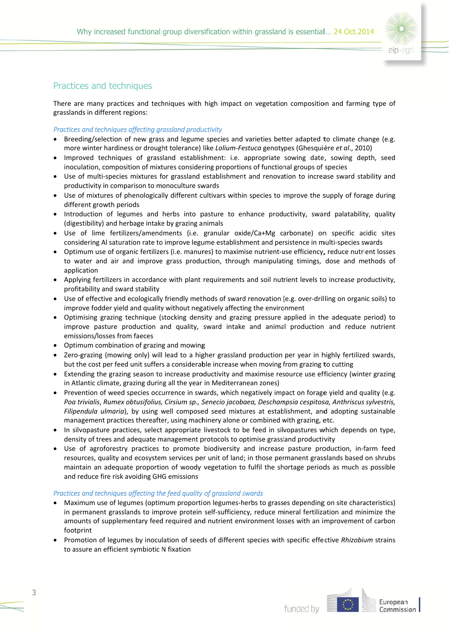

# Practices and techniques

There are many practices and techniques with high impact on vegetation composition and farming type of grasslands in different regions:

### Practices and techniques affecting arassland productivity

- Breeding/selection of new grass and legume species and varieties better adapted to climate change (e.g. more winter hardiness or drought tolerance) like Lolium-Festuca genotypes (Ghesquière et al., 2010)
- Improved techniques of grassland establishment: i.e. appropriate sowing date, sowing depth, seed inoculation, composition of mixtures considering proportions of functional groups of species
- Use of multi-species mixtures for grassland establishment and renovation to increase sward stability and productivity in comparison to monoculture swards
- Use of mixtures of phenologically different cultivars within species to improve the supply of forage during different growth periods
- Introduction of legumes and herbs into pasture to enhance productivity, sward palatability, quality (digestibility) and herbage intake by grazing animals
- Use of lime fertilizers/amendments (i.e. granular oxide/Ca+Mg carbonate) on specific acidic sites considering AI saturation rate to improve legume establishment and persistence in multi-species swards
- Optimum use of organic fertilizers (i.e. manures) to maximise nutrient-use efficiency, reduce nutrient losses to water and air and improve grass production, through manipulating timings, dose and methods of application
- Applying fertilizers in accordance with plant requirements and soil nutrient levels to increase productivity. profitability and sward stability
- Use of effective and ecologically friendly methods of sward renovation (e.g. over-drilling on organic soils) to improve fodder yield and quality without negatively affecting the environment
- Optimising grazing technique (stocking density and grazing pressure applied in the adequate period) to improve pasture production and quality, sward intake and animal production and reduce nutrient emissions/losses from faeces
- Optimum combination of grazing and mowing
- Zero-grazing (mowing only) will lead to a higher grassland production per year in highly fertilized swards, but the cost per feed unit suffers a considerable increase when moving from grazing to cutting
- Extending the grazing season to increase productivity and maximise resource use efficiency (winter grazing in Atlantic climate, grazing during all the year in Mediterranean zones)
- Prevention of weed species occurrence in swards, which negatively impact on forage yield and quality (e.g. Poa trivialis, Rumex obtusifolius, Cirsium sp., Senecio jacobaea, Deschampsia cespitosa, Anthriscus sylvestris, Filipendula ulmaria), by using well composed seed mixtures at establishment, and adopting sustainable management practices thereafter, using machinery alone or combined with grazing, etc.
- In silvopasture practices, select appropriate livestock to be feed in silvopastures which depends on type, density of trees and adequate management protocols to optimise grassland productivity
- Use of agroforestry practices to promote biodiversity and increase pasture production, in-farm feed resources, quality and ecosystem services per unit of land; in those permanent grasslands based on shrubs maintain an adequate proportion of woody vegetation to fulfil the shortage periods as much as possible and reduce fire risk avoiding GHG emissions

#### Practices and techniques affecting the feed quality of grassland swards

- Maximum use of legumes (optimum proportion legumes-herbs to grasses depending on site characteristics) in permanent grasslands to improve protein self-sufficiency, reduce mineral fertilization and minimize the amounts of supplementary feed required and nutrient environment losses with an improvement of carbon footprint
- Promotion of legumes by inoculation of seeds of different species with specific effective Rhizobium strains to assure an efficient symbiotic N fixation

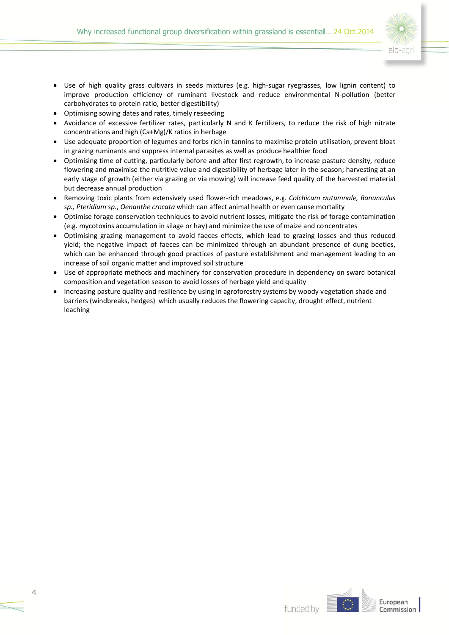

- Use of high quality grass cultivars in seeds mixtures (e.g. high-sugar ryegrasses, low lignin content) to improve production efficiency of ruminant livestock and reduce environmental N-pollution (better carbohydrates to protein ratio, better digestibility)
- Optimising sowing dates and rates, timely reseeding
- Avoidance of excessive fertilizer rates, particularly N and K fertilizers, to reduce the risk of high nitrate concentrations and high (Ca+Mg)/K ratios in herbage
- Use adequate proportion of legumes and forbs rich in tannins to maximise protein utilisation, prevent bloat in grazing ruminants and suppress internal parasites as well as produce healthier food
- Optimising time of cutting, particularly before and after first regrowth, to increase pasture density, reduce flowering and maximise the nutritive value and digestibility of herbage later in the season; harvesting at an early stage of growth (either via grazing or via mowing) will increase feed quality of the harvested material but decrease annual production
- Removing toxic plants from extensively used flower-rich meadows, e.g. Colchicum autumnale, Ranunculus sp., Pteridium sp., Oenanthe crocata which can affect animal health or even cause mortality
- Optimise forage conservation techniques to avoid nutrient losses, mitigate the risk of forage contamination (e.g. mycotoxins accumulation in silage or hay) and minimize the use of maize and concentrates
- Optimising grazing management to avoid faeces effects, which lead to grazing losses and thus reduced yield; the negative impact of faeces can be minimized through an abundant presence of dung beetles, which can be enhanced through good practices of pasture establishment and management leading to an increase of soil organic matter and improved soil structure
- Use of appropriate methods and machinery for conservation procedure in dependency on sward botanical composition and vegetation season to avoid losses of herbage yield and quality
- Increasing pasture quality and resilience by using in agroforestry systems by woody vegetation shade and barriers (windbreaks, hedges) which usually reduces the flowering capacity, drought effect, nutrient leaching

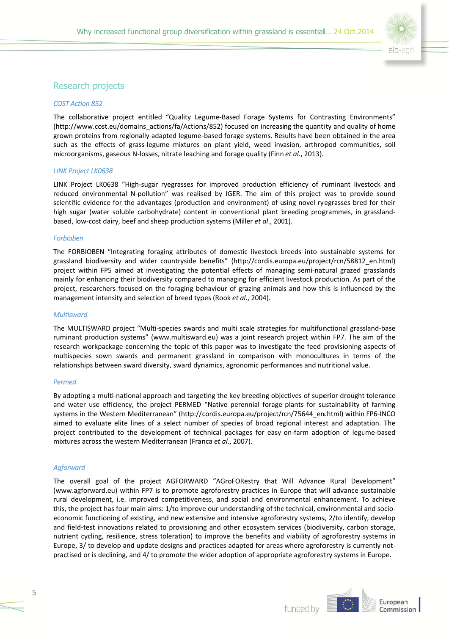

## Research projects

#### **COST Action 852**

The collaborative project entitled "Quality Legume-Based Forage Systems for Contrasting Environments" (http://www.cost.eu/domains\_actions/fa/Actions/852) focused on increasing the quantity and quality of home grown proteins from regionally adapted legume-based forage systems. Results have been obtained in the area such as the effects of grass-legume mixtures on plant yield, weed invasion, arthropod communities, soil microorganisms, gaseous N-losses, nitrate leaching and forage quality (Finn et al., 2013).

#### **LINK Project LK0638**

LINK Project LK0638 "High-sugar ryegrasses for improved production efficiency of ruminant livestock and reduced environmental N-pollution" was realised by IGER. The aim of this project was to provide sound scientific evidence for the advantages (production and environment) of using novel ryegrasses bred for their high sugar (water soluble carbohydrate) content in conventional plant breeding programmes, in grasslandbased, low-cost dairy, beef and sheep production systems (Miller et al., 2001).

#### Forbioben

The FORBIOBEN "Integrating foraging attributes of domestic livestock breeds into sustainable systems for grassland biodiversity and wider countryside benefits" (http://cordis.europa.eu/project/rcn/58812 en.html) project within FP5 aimed at investigating the potential effects of managing semi-natural grazed grasslands mainly for enhancing their biodiversity compared to managing for efficient livestock production. As part of the project, researchers focused on the foraging behaviour of grazing animals and how this is influenced by the management intensity and selection of breed types (Rook et al., 2004).

#### **Multisward**

The MULTISWARD project "Multi-species swards and multi scale strategies for multifunctional grassland-base ruminant production systems" (www.multisward.eu) was a joint research project within FP7. The aim of the research workpackage concerning the topic of this paper was to investigate the feed provisioning aspects of multispecies sown swards and permanent grassland in comparison with monocultures in terms of the relationships between sward diversity, sward dynamics, agronomic performances and nutritional value.

#### **Permed**

By adopting a multi-national approach and targeting the key breeding objectives of superior drought tolerance and water use efficiency, the project PERMED "Native perennial forage plants for sustainability of farming systems in the Western Mediterranean" (http://cordis.europa.eu/project/rcn/75644 en.html) within FP6-INCO aimed to evaluate elite lines of a select number of species of broad regional interest and adaptation. The project contributed to the development of technical packages for easy on-farm adoption of legume-based mixtures across the western Mediterranean (Franca et al., 2007).

#### **Aaforward**

The overall goal of the project AGFORWARD "AGroFORestry that Will Advance Rural Development" (www.agforward.eu) within FP7 is to promote agroforestry practices in Europe that will advance sustainable rural development, i.e. improved competitiveness, and social and environmental enhancement. To achieve this, the project has four main aims: 1/to improve our understanding of the technical, environmental and socioeconomic functioning of existing, and new extensive and intensive agroforestry systems, 2/to identify, develop and field-test innovations related to provisioning and other ecosystem services (biodiversity, carbon storage, nutrient cycling, resilience, stress toleration) to improve the benefits and viability of agroforestry systems in Europe, 3/ to develop and update designs and practices adapted for areas where agroforestry is currently notpractised or is declining, and 4/ to promote the wider adoption of appropriate agroforestry systems in Europe.

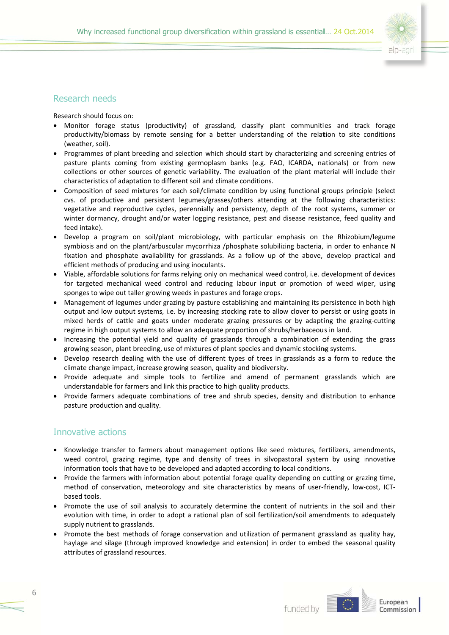

## Research needs

Research should focus on:

- Monitor forage status (productivity) of grassland, classify plant communities and track forage productivity/biomass by remote sensing for a better understanding of the relation to site conditions (weather, soil).
- Programmes of plant breeding and selection which should start by characterizing and screening entries of pasture plants coming from existing germoplasm banks (e.g. FAO, ICARDA, nationals) or from new collections or other sources of genetic variability. The evaluation of the plant material will include their characteristics of adaptation to different soil and climate conditions.
- Composition of seed mixtures for each soil/climate condition by using functional groups principle (select cvs. of productive and persistent legumes/grasses/others attending at the following characteristics: vegetative and reproductive cycles, perennially and persistency, depth of the root systems, summer or winter dormancy, drought and/or water logging resistance, pest and disease resistance, feed quality and feed intake).
- Develop a program on soil/plant microbiology, with particular emphasis on the Rhizobium/legume symbiosis and on the plant/arbuscular mycorrhiza /phosphate solubilizing bacteria, in order to enhance N fixation and phosphate availability for grasslands. As a follow up of the above, develop practical and efficient methods of producing and using inoculants.
- Viable, affordable solutions for farms relying only on mechanical weed control, i.e. development of devices for targeted mechanical weed control and reducing labour input or promotion of weed wiper, using sponges to wipe out taller growing weeds in pastures and forage crops.
- Management of legumes under grazing by pasture establishing and maintaining its persistence in both high output and low output systems, i.e. by increasing stocking rate to allow clover to persist or using goats in mixed herds of cattle and goats under moderate grazing pressures or by adapting the grazing-cutting regime in high output systems to allow an adequate proportion of shrubs/herbaceous in land.
- Increasing the potential yield and quality of grasslands through a combination of extending the grass growing season, plant breeding, use of mixtures of plant species and dynamic stocking systems.
- Develop research dealing with the use of different types of trees in grasslands as a form to reduce the climate change impact, increase growing season, quality and biodiversity.
- Provide adequate and simple tools to fertilize and amend of permanent grasslands which are understandable for farmers and link this practice to high quality products.
- Provide farmers adequate combinations of tree and shrub species, density and distribution to enhance pasture production and quality.

## Innovative actions

- Knowledge transfer to farmers about management options like seed mixtures, fertilizers, amendments, weed control, grazing regime, type and density of trees in silvopastoral system by using innovative information tools that have to be developed and adapted according to local conditions.
- Provide the farmers with information about potential forage quality depending on cutting or grazing time, method of conservation, meteorology and site characteristics by means of user-friendly, low-cost, ICTbased tools.
- Promote the use of soil analysis to accurately determine the content of nutrients in the soil and their evolution with time, in order to adopt a rational plan of soil fertilization/soil amendments to adequately supply nutrient to grasslands.
- Promote the best methods of forage conservation and utilization of permanent grassland as quality hay, haylage and silage (through improved knowledge and extension) in order to embed the seasonal quality attributes of grassland resources.